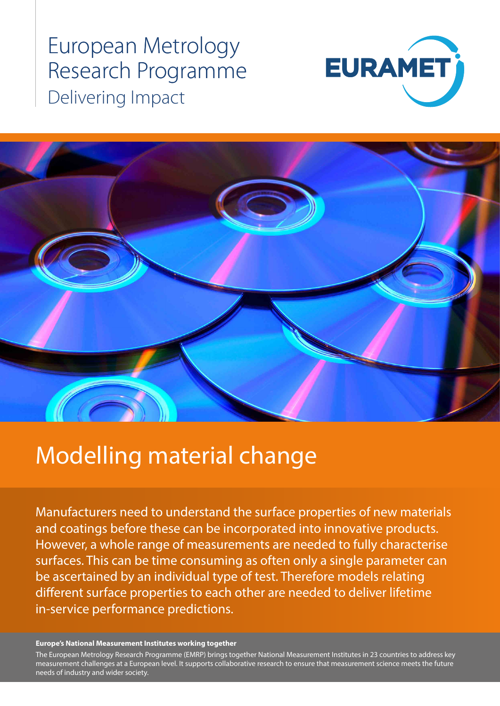European Metrology Research Programme Delivering Impact





# Modelling material change

Manufacturers need to understand the surface properties of new materials and coatings before these can be incorporated into innovative products. However, a whole range of measurements are needed to fully characterise surfaces. This can be time consuming as often only a single parameter can be ascertained by an individual type of test. Therefore models relating different surface properties to each other are needed to deliver lifetime in-service performance predictions.

#### **Europe's National Measurement Institutes working together**

measurement challenges at a European level. It supports collaborative research to ensure that measurement science meets the future<br>needs of industry and wider society The European Metrology Research Programme (EMRP) brings together National Measurement Institutes in 23 countries to address key needs of industry and wider society.